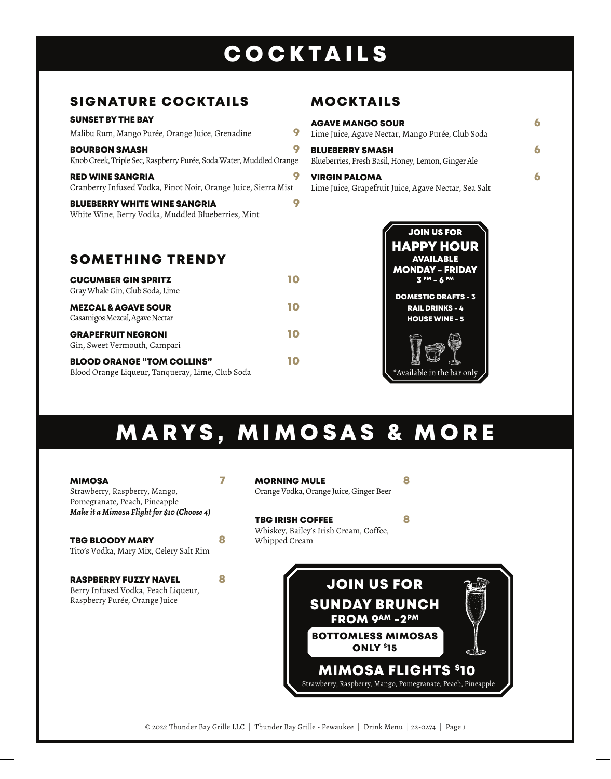## COCKTAILS

## SIGNATURE COCKTAILS

#### SUNSET BY THE BAY

| Malibu Rum, Mango Purée, Orange Juice, Grenadine                                            |  |
|---------------------------------------------------------------------------------------------|--|
| <b>BOURBON SMASH</b><br>Knob Creek, Triple Sec, Raspberry Purée, Soda Water, Muddled Orange |  |
| <b>RED WINE SANGRIA</b><br>Cranberry Infused Vodka, Pinot Noir, Orange Juice, Sierra Mist   |  |
| <b>BLUEBERRY WHITE WINE SANGRIA</b><br>White Wine, Berry Vodka, Muddled Blueberries, Mint   |  |

## SOMETHING TRENDY

| <b>CUCUMBER GIN SPRITZ</b><br>Gray Whale Gin, Club Soda, Lime                         | ТC |
|---------------------------------------------------------------------------------------|----|
| <b>MEZCAL &amp; AGAVE SOUR</b><br>Casamigos Mezcal, Agave Nectar                      | 10 |
| <b>GRAPEFRUIT NEGRONI</b><br>Gin, Sweet Vermouth, Campari                             | 10 |
| <b>BLOOD ORANGE "TOM COLLINS"</b><br>Blood Orange Liqueur, Tanqueray, Lime, Club Soda | 10 |

## MOCKTAILS

| <b>AGAVE MANGO SOUR</b><br>Lime Juice, Agave Nectar, Mango Purée, Club Soda  |  |
|------------------------------------------------------------------------------|--|
| <b>BLUEBERRY SMASH</b><br>Blueberries, Fresh Basil, Honey, Lemon, Ginger Ale |  |
| <b>VIRGIN PALOMA</b><br>Lime Juice, Grapefruit Juice, Agave Nectar, Sea Salt |  |



# MARYS, MIMOSAS & MORE

| MIMOSA<br>Strawberry, Raspberry, Mango,<br>Pomegranate, Peach, Pineapple                      |   | <b>MORNING MULE</b><br>Orange Vodka, Orange Juice, Ginger Beer                                                                                     |                                                             |
|-----------------------------------------------------------------------------------------------|---|----------------------------------------------------------------------------------------------------------------------------------------------------|-------------------------------------------------------------|
| Make it a Mimosa Flight for \$10 (Choose 4)                                                   |   | <b>TBG IRISH COFFEE</b><br>Whiskey, Bailey's Irish Cream, Coffee,                                                                                  |                                                             |
| <b>TBG BLOODY MARY</b><br>Tito's Vodka, Mary Mix, Celery Salt Rim                             | 8 | Whipped Cream                                                                                                                                      |                                                             |
| RASPBERRY FUZZY NAVEL<br>Berry Infused Vodka, Peach Liqueur,<br>Raspberry Purée, Orange Juice | Я | <b>JOIN US FOR</b><br><b>SUNDAY BRUNCH</b><br><b>FROM 9AM - 2PM</b><br><b>BOTTOMLESS MIMOSAS</b><br><b>ONLY \$15</b><br><b>MIMOSA FLIGHTS \$10</b> | Strawberry, Raspberry, Mango, Pomegranate, Peach, Pineapple |

© 2022 Thunder Bay Grille LLC | Thunder Bay Grille - Pewaukee | Drink Menu | 22-0274 | Page 1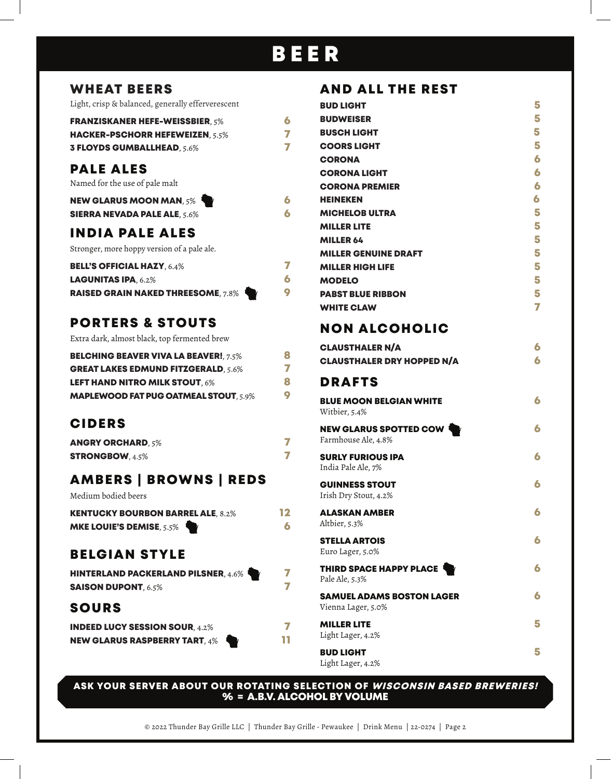## BEER

### WHEAT BEERS

Light, crisp & balanced, generally efferverescent

| <b>FRANZISKANER HEFE-WEISSBIER. 5%</b> | 6  |
|----------------------------------------|----|
| <b>HACKER-PSCHORR HEFEWEIZEN, 5.5%</b> | 77 |
| <b>3 FLOYDS GUMBALLHEAD, 5.6%</b>      | 7  |

## PALE ALES

Named for the use of pale malt

| <b>NEW GLARUS MOON MAN, 5% T</b>    |  |
|-------------------------------------|--|
| <b>SIERRA NEVADA PALE ALE, 5.6%</b> |  |

## INDIA PALE ALES

Stronger, more hoppy version of a pale ale.

| <b>BELL'S OFFICIAL HAZY. 6.4%</b>         |   |
|-------------------------------------------|---|
| <b>LAGUNITAS IPA, <math>6.2\%</math></b>  | 6 |
| <b>RAISED GRAIN NAKED THREESOME, 7.8%</b> | O |

## PORTERS & STOUTS

Extra dark, almost black, top fermented brew

| <b>BELCHING BEAVER VIVA LA BEAVER! 7.5%</b>  | 8  |
|----------------------------------------------|----|
| <b>GREAT LAKES EDMUND FITZGERALD, 5.6%</b>   | 77 |
| <b>LEFT HAND NITRO MILK STOUT. 6%</b>        | 8  |
| <b>MAPLEWOOD FAT PUG OATMEAL STOUT. 5.9%</b> | O  |

## CIDERS

| <b>ANGRY ORCHARD, 5%</b> |  |
|--------------------------|--|
| <b>STRONGBOW</b> , 4.5%  |  |

## AMBERS **|** BROWNS **|** REDS

Medium bodied beers

| <b>KENTUCKY BOURBON BARREL ALE, 8.2%</b> | 12 |
|------------------------------------------|----|
| <b>MKE LOUIE'S DEMISE, 5.5%</b>          | 6  |

## BELGIAN STYLE

| <b>HINTERLAND PACKERLAND PILSNER, 4.6%</b> | 7  |
|--------------------------------------------|----|
| <b>SAISON DUPONT, 6.5%</b>                 | 77 |
| <b>SOURS</b>                               |    |

| <b>INDEED LUCY SESSION SOUR, 4.2%</b> |    |
|---------------------------------------|----|
| <b>NEW GLARUS RASPBERRY TART, 4%</b>  | TT |

## AND ALL THE REST

| <b>BUD LIGHT</b>                                       | 5 |
|--------------------------------------------------------|---|
| <b>BUDWEISER</b>                                       | 5 |
| <b>BUSCH LIGHT</b>                                     | 5 |
| <b>COORS LIGHT</b>                                     | 5 |
| <b>CORONA</b>                                          | 6 |
| <b>CORONA LIGHT</b>                                    | 6 |
| <b>CORONA PREMIER</b>                                  | 6 |
| <b>HEINEKEN</b>                                        | 6 |
| <b>MICHELOB ULTRA</b>                                  | 5 |
| <b>MILLER LITE</b>                                     | 5 |
| <b>MILLER 64</b>                                       | 5 |
| <b>MILLER GENUINE DRAFT</b>                            | 5 |
| <b>MILLER HIGH LIFE</b>                                | 5 |
| <b>MODELO</b>                                          | 5 |
| <b>PABST BLUE RIBBON</b>                               | 5 |
| <b>WHITE CLAW</b>                                      | 7 |
| <b>NON ALCOHOLIC</b>                                   |   |
| <b>CLAUSTHALER N/A</b>                                 | 6 |
| <b>CLAUSTHALER DRY HOPPED N/A</b>                      | 6 |
| <b>DRAFTS</b>                                          |   |
| <b>BLUE MOON BELGIAN WHITE</b><br>Witbier, 5.4%        | 6 |
| <b>NEW GLARUS SPOTTED COW</b><br>Farmhouse Ale, 4.8%   | 6 |
| <b>SURLY FURIOUS IPA</b><br>India Pale Ale, 7%         | 6 |
| <b>GUINNESS STOUT</b><br>Irish Dry Stout, 4.2%         | 6 |
| <b>ALASKAN AMBER</b><br>Altbier, 5.3%                  | 6 |
| <b>STELLA ARTOIS</b><br>Euro Lager, 5.0%               | 6 |
| THIRD SPACE HAPPY PLACE<br>Pale Ale, 5.3%              | 6 |
| <b>SAMUEL ADAMS BOSTON LAGER</b><br>Vienna Lager, 5.0% |   |
| <b>MILLER LITE</b><br>Light Lager, 4.2%                | 5 |
| <b>BUD LIGHT</b><br>Light Lager, 4.2%                  | 5 |

ASK YOUR SERVER ABOUT OUR ROTATING SELECTION OF WISCONSIN BASED BREWERIES! % = A.B.V. ALCOHOL BY VOLUME

© 2022 Thunder Bay Grille LLC | Thunder Bay Grille - Pewaukee | Drink Menu | 22-0274 | Page 2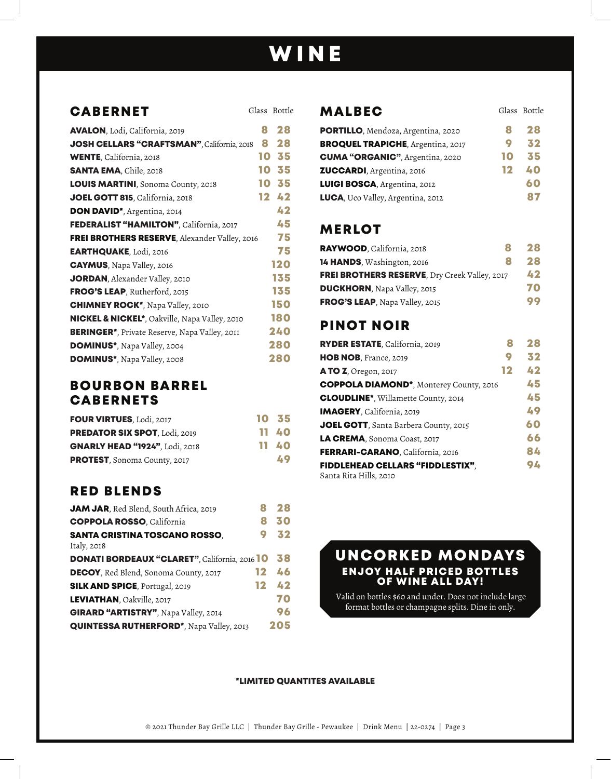## WINE

### CABERNET

| <b>AVALON, Lodi, California, 2019</b>                     | 8  | 28  |
|-----------------------------------------------------------|----|-----|
| JOSH CELLARS "CRAFTSMAN", California, 2018                | 8  | 28  |
| <b>WENTE, California, 2018</b>                            | 10 | 35  |
| <b>SANTA EMA, Chile, 2018</b>                             | 10 | 35  |
| <b>LOUIS MARTINI, Sonoma County, 2018</b>                 | 10 | 35  |
| JOEL GOTT 815, California, 2018                           | 12 | 42  |
| DON DAVID <sup>*</sup> , Argentina, 2014                  |    | 42  |
| <b>FEDERALIST "HAMILTON"</b> , California, 2017           |    | 45  |
| <b>FREI BROTHERS RESERVE, Alexander Valley, 2016</b>      |    | 75  |
| <b>EARTHQUAKE, Lodi, 2016</b>                             |    | 75  |
| <b>CAYMUS</b> , Napa Valley, 2016                         |    | 120 |
| <b>JORDAN</b> , Alexander Valley, 2010                    |    | 135 |
| <b>FROG'S LEAP, Rutherford, 2015</b>                      |    | 135 |
| <b>CHIMNEY ROCK*, Napa Valley, 2010</b>                   |    | 150 |
| <b>NICKEL &amp; NICKEL*</b> , Oakville, Napa Valley, 2010 |    | 180 |
| <b>BERINGER*</b> , Private Reserve, Napa Valley, 2011     |    | 240 |
| <b>DOMINUS*</b> , Napa Valley, 2004                       |    | 280 |
| <b>DOMINUS*</b> , Napa Valley, 2008                       |    | 280 |

#### BOURBON BARREL CABERNETS

| <b>FOUR VIRTUES, Lodi, 2017</b>       | 10 35 |
|---------------------------------------|-------|
| <b>PREDATOR SIX SPOT, Lodi, 2019</b>  | 11 40 |
| <b>GNARLY HEAD "1924", Lodi, 2018</b> | 11 40 |
| PROTEST, Sonoma County, 2017          | 49    |

## RED BLENDS

| JAM JAR, Red Blend, South Africa, 2019               |    | 28  |
|------------------------------------------------------|----|-----|
| <b>COPPOLA ROSSO, California</b>                     |    | 30  |
| <b>SANTA CRISTINA TOSCANO ROSSO,</b><br>Italy, 2018  |    | 32  |
| <b>DONATI BORDEAUX "CLARET", California, 2016 10</b> |    | 38  |
| <b>DECOY, Red Blend, Sonoma County, 2017</b>         | 12 | 46  |
| <b>SILK AND SPICE, Portugal, 2019</b>                | 12 | 42  |
| LEVIATHAN, Oakville, 2017                            |    | 70  |
| GIRARD "ARTISTRY", Napa Valley, 2014                 |    | 96  |
| <b>QUINTESSA RUTHERFORD*, Napa Valley, 2013</b>      |    | 205 |

#### Glass Bottle **MALBEC** Glass Bottle

| PORTILLO, Mendoza, Argentina, 2020       |    | 28 |
|------------------------------------------|----|----|
| <b>BROQUEL TRAPICHE, Argentina, 2017</b> |    | 32 |
| <b>CUMA "ORGANIC"</b> , Argentina, 2020  | 10 | 35 |
| <b>ZUCCARDI</b> , Argentina, 2016        | 12 | 40 |
| LUIGI BOSCA, Argentina, 2012             |    | 60 |
| LUCA, Uco Valley, Argentina, 2012        |    | 87 |

### MERLOT

| RAYWOOD, California, 2018                     | я | 28 |
|-----------------------------------------------|---|----|
| 14 HANDS, Washington, 2016                    | я | 28 |
| FREI BROTHERS RESERVE, Dry Creek Valley, 2017 |   | 42 |
| <b>DUCKHORN</b> , Napa Valley, 2015           |   | 70 |
| FROG'S LEAP, Napa Valley, 2015                |   | 99 |

## PINOT NOIR

| RYDER ESTATE, California, 2019                 | Я  | 28 |
|------------------------------------------------|----|----|
| HOB NOB, France, 2019                          | 9  | 32 |
| <b>A TO Z</b> , Oregon, 2017                   | 12 | 42 |
| <b>COPPOLA DIAMOND*, Monterey County, 2016</b> |    | 45 |
| <b>CLOUDLINE*, Willamette County, 2014</b>     |    | 45 |
| IMAGERY, California, 2019                      |    | 49 |
| JOEL GOTT, Santa Barbera County, 2015          |    | 60 |
| LA CREMA, Sonoma Coast, 2017                   |    | 66 |
| FERRARI-CARANO, California, 2016               |    | 84 |
| <b>FIDDLEHEAD CELLARS "FIDDLESTIX",</b>        |    | 94 |
| Santa Rita Hills, 2010                         |    |    |

#### UNCORKED MONDAYS ENJOY HALF PRICED BOTTLES OF WINE ALL DAY!

 Valid on bottles \$60 and under. Does not include large format bottles or champagne splits. Dine in only.

#### \*LIMITED QUANTITES AVAILABLE

© 2021 Thunder Bay Grille LLC | Thunder Bay Grille - Pewaukee | Drink Menu | 22-0274 | Page 3